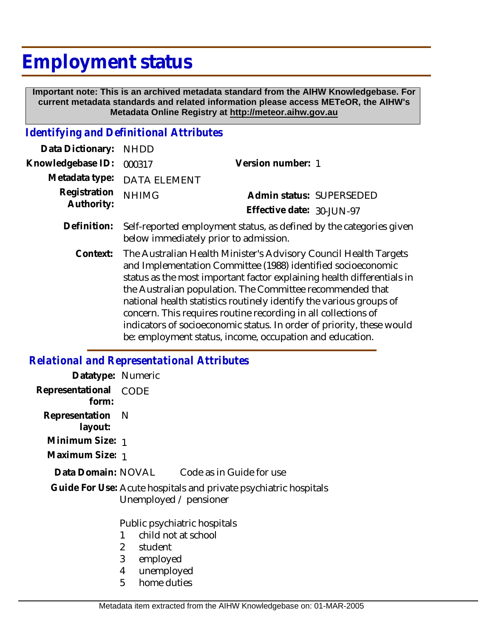# **Employment status**

 **Important note: This is an archived metadata standard from the AIHW Knowledgebase. For current metadata standards and related information please access METeOR, the AIHW's Metadata Online Registry at http://meteor.aihw.gov.au**

# *Identifying and Definitional Attributes*

| Data Dictionary:           | <b>NHDD</b>                                                                                                                                                                                                                                                                                                                                                                                                                                                                                                                                           |                           |  |
|----------------------------|-------------------------------------------------------------------------------------------------------------------------------------------------------------------------------------------------------------------------------------------------------------------------------------------------------------------------------------------------------------------------------------------------------------------------------------------------------------------------------------------------------------------------------------------------------|---------------------------|--|
| Knowledgebase ID:          | 000317                                                                                                                                                                                                                                                                                                                                                                                                                                                                                                                                                | Version number: 1         |  |
| Metadata type:             | <b>DATA ELEMENT</b>                                                                                                                                                                                                                                                                                                                                                                                                                                                                                                                                   |                           |  |
| Registration<br>Authority: | <b>NHIMG</b>                                                                                                                                                                                                                                                                                                                                                                                                                                                                                                                                          | Admin status: SUPERSEDED  |  |
|                            |                                                                                                                                                                                                                                                                                                                                                                                                                                                                                                                                                       | Effective date: 30-JUN-97 |  |
| Definition:                | Self-reported employment status, as defined by the categories given<br>below immediately prior to admission.                                                                                                                                                                                                                                                                                                                                                                                                                                          |                           |  |
| Context:                   | The Australian Health Minister's Advisory Council Health Targets<br>and Implementation Committee (1988) identified socioeconomic<br>status as the most important factor explaining health differentials in<br>the Australian population. The Committee recommended that<br>national health statistics routinely identify the various groups of<br>concern. This requires routine recording in all collections of<br>indicators of socioeconomic status. In order of priority, these would<br>be: employment status, income, occupation and education. |                           |  |

### *Relational and Representational Attributes*

| Datatype: Numeric                                                                          |                                                          |                                             |
|--------------------------------------------------------------------------------------------|----------------------------------------------------------|---------------------------------------------|
| Representational CODE<br>form:                                                             |                                                          |                                             |
| Representation N<br>layout:                                                                |                                                          |                                             |
| Minimum Size: 1                                                                            |                                                          |                                             |
| Maximum Size: 1                                                                            |                                                          |                                             |
|                                                                                            |                                                          | Data Domain: NOVAL Code as in Guide for use |
| Guide For Use: Acute hospitals and private psychiatric hospitals<br>Unemployed / pensioner |                                                          |                                             |
|                                                                                            | Public psychiatric hospitals<br>child not at school<br>1 |                                             |
|                                                                                            |                                                          |                                             |
|                                                                                            | $\overline{2}$<br>student                                |                                             |
|                                                                                            | 3<br>employed                                            |                                             |
|                                                                                            | 4<br>unemployed                                          |                                             |
|                                                                                            | 5<br>home duties                                         |                                             |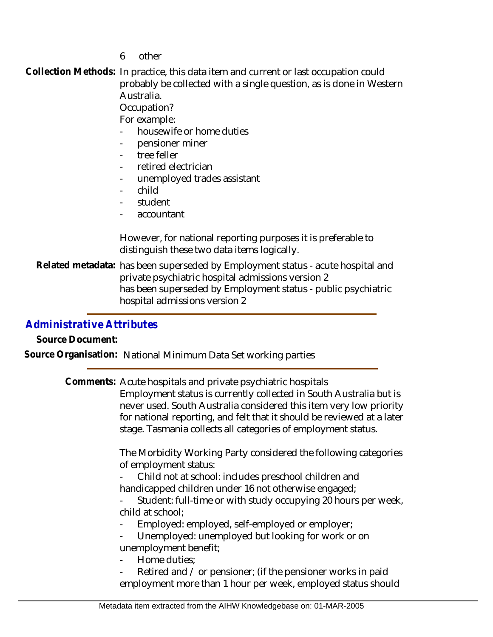6 other

Collection Methods: In practice, this data item and current or last occupation could probably be collected with a single question, as is done in Western Australia. Occupation?

For example:

- housewife or home duties
- pensioner miner
- tree feller
- retired electrician
- unemployed trades assistant
- child
- student
- accountant

However, for national reporting purposes it is preferable to distinguish these two data items logically.

Related metadata: has been superseded by Employment status - acute hospital and private psychiatric hospital admissions version 2 has been superseded by Employment status - public psychiatric hospital admissions version 2

## *Administrative Attributes*

**Source Document:**

**Source Organisation:** National Minimum Data Set working parties

Comments: Acute hospitals and private psychiatric hospitals Employment status is currently collected in South Australia but is never used. South Australia considered this item very low priority for national reporting, and felt that it should be reviewed at a later stage. Tasmania collects all categories of employment status.

> The Morbidity Working Party considered the following categories of employment status:

- Child not at school: includes preschool children and handicapped children under 16 not otherwise engaged;

Student: full-time or with study occupying 20 hours per week, child at school;

Employed: employed, self-employed or employer;

Unemployed: unemployed but looking for work or on unemployment benefit;

- Home duties:
- Retired and / or pensioner; (if the pensioner works in paid employment more than 1 hour per week, employed status should